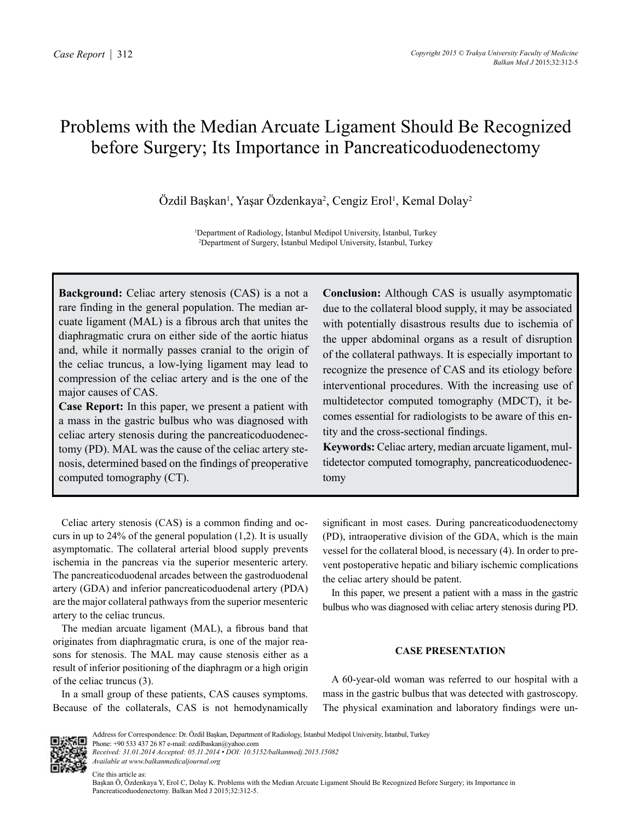# Problems with the Median Arcuate Ligament Should Be Recognized before Surgery; Its Importance in Pancreaticoduodenectomy

Özdil Başkan<sup>ı</sup>, Yaşar Özdenkaya<sup>2</sup>, Cengiz Erol<sup>ı</sup>, Kemal Dolay<sup>2</sup>

1 Department of Radiology, İstanbul Medipol University, İstanbul, Turkey 2 Department of Surgery, İstanbul Medipol University, İstanbul, Turkey

**Background:** Celiac artery stenosis (CAS) is a not a rare finding in the general population. The median arcuate ligament (MAL) is a fibrous arch that unites the diaphragmatic crura on either side of the aortic hiatus and, while it normally passes cranial to the origin of the celiac truncus, a low-lying ligament may lead to compression of the celiac artery and is the one of the major causes of CAS.

**Case Report:** In this paper, we present a patient with a mass in the gastric bulbus who was diagnosed with celiac artery stenosis during the pancreaticoduodenectomy (PD). MAL was the cause of the celiac artery stenosis, determined based on the findings of preoperative computed tomography (CT).

**Conclusion:** Although CAS is usually asymptomatic due to the collateral blood supply, it may be associated with potentially disastrous results due to ischemia of the upper abdominal organs as a result of disruption of the collateral pathways. It is especially important to recognize the presence of CAS and its etiology before interventional procedures. With the increasing use of multidetector computed tomography (MDCT), it becomes essential for radiologists to be aware of this entity and the cross-sectional findings.

**Keywords:** Celiac artery, median arcuate ligament, multidetector computed tomography, pancreaticoduodenectomy

Celiac artery stenosis (CAS) is a common finding and occurs in up to  $24\%$  of the general population  $(1,2)$ . It is usually asymptomatic. The collateral arterial blood supply prevents ischemia in the pancreas via the superior mesenteric artery. The pancreaticoduodenal arcades between the gastroduodenal artery (GDA) and inferior pancreaticoduodenal artery (PDA) are the major collateral pathways from the superior mesenteric artery to the celiac truncus.

The median arcuate ligament (MAL), a fibrous band that originates from diaphragmatic crura, is one of the major reasons for stenosis. The MAL may cause stenosis either as a result of inferior positioning of the diaphragm or a high origin of the celiac truncus (3).

In a small group of these patients, CAS causes symptoms. Because of the collaterals, CAS is not hemodynamically significant in most cases. During pancreaticoduodenectomy (PD), intraoperative division of the GDA, which is the main vessel for the collateral blood, is necessary (4). In order to prevent postoperative hepatic and biliary ischemic complications the celiac artery should be patent.

In this paper, we present a patient with a mass in the gastric bulbus who was diagnosed with celiac artery stenosis during PD.

## **CASE PRESENTATION**

A 60-year-old woman was referred to our hospital with a mass in the gastric bulbus that was detected with gastroscopy. The physical examination and laboratory findings were un-



Address for Correspondence: Dr. Özdil Başkan, Department of Radiology, İstanbul Medipol University, İstanbul, Turkey Phone: +90 533 437 26 87 e-mail: ozdilbaskan@yahoo.com

*Received: 31.01.2014 Accepted: 05.11.2014 • DOI: 10.5152/balkanmedj.2015.15082 Available at www.balkanmedicaljournal.org*

Cite this article as: Başkan Ö, Özdenkaya Y, Erol C, Dolay K. Problems with the Median Arcuate Ligament Should Be Recognized Before Surgery; its Importance in Pancreaticoduodenectomy. Balkan Med J 2015;32:312-5.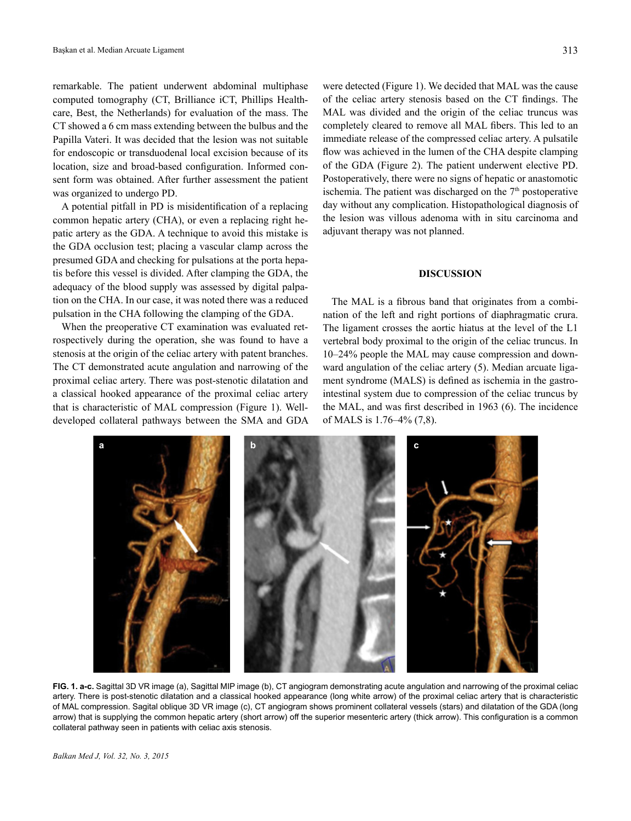remarkable. The patient underwent abdominal multiphase computed tomography (CT, Brilliance iCT, Phillips Healthcare, Best, the Netherlands) for evaluation of the mass. The CT showed a 6 cm mass extending between the bulbus and the Papilla Vateri. It was decided that the lesion was not suitable for endoscopic or transduodenal local excision because of its location, size and broad-based configuration. Informed consent form was obtained. After further assessment the patient was organized to undergo PD.

A potential pitfall in PD is misidentification of a replacing common hepatic artery (CHA), or even a replacing right hepatic artery as the GDA. A technique to avoid this mistake is the GDA occlusion test; placing a vascular clamp across the presumed GDA and checking for pulsations at the porta hepatis before this vessel is divided. After clamping the GDA, the adequacy of the blood supply was assessed by digital palpation on the CHA. In our case, it was noted there was a reduced pulsation in the CHA following the clamping of the GDA.

When the preoperative CT examination was evaluated retrospectively during the operation, she was found to have a stenosis at the origin of the celiac artery with patent branches. The CT demonstrated acute angulation and narrowing of the proximal celiac artery. There was post-stenotic dilatation and a classical hooked appearance of the proximal celiac artery that is characteristic of MAL compression (Figure 1). Welldeveloped collateral pathways between the SMA and GDA

were detected (Figure 1). We decided that MAL was the cause of the celiac artery stenosis based on the CT findings. The MAL was divided and the origin of the celiac truncus was completely cleared to remove all MAL fibers. This led to an immediate release of the compressed celiac artery. A pulsatile flow was achieved in the lumen of the CHA despite clamping of the GDA (Figure 2). The patient underwent elective PD. Postoperatively, there were no signs of hepatic or anastomotic ischemia. The patient was discharged on the  $7<sup>th</sup>$  postoperative day without any complication. Histopathological diagnosis of the lesion was villous adenoma with in situ carcinoma and adjuvant therapy was not planned.

## **DISCUSSION**

The MAL is a fibrous band that originates from a combination of the left and right portions of diaphragmatic crura. The ligament crosses the aortic hiatus at the level of the L1 vertebral body proximal to the origin of the celiac truncus. In 10–24% people the MAL may cause compression and downward angulation of the celiac artery (5). Median arcuate ligament syndrome (MALS) is defined as ischemia in the gastrointestinal system due to compression of the celiac truncus by the MAL, and was first described in 1963 (6). The incidence of MALS is 1.76–4% (7,8).



**FIG. 1. a-c.** Sagittal 3D VR image (a), Sagittal MIP image (b), CT angiogram demonstrating acute angulation and narrowing of the proximal celiac artery. There is post-stenotic dilatation and a classical hooked appearance (long white arrow) of the proximal celiac artery that is characteristic of MAL compression. Sagital oblique 3D VR image (c), CT angiogram shows prominent collateral vessels (stars) and dilatation of the GDA (long arrow) that is supplying the common hepatic artery (short arrow) off the superior mesenteric artery (thick arrow). This configuration is a common collateral pathway seen in patients with celiac axis stenosis.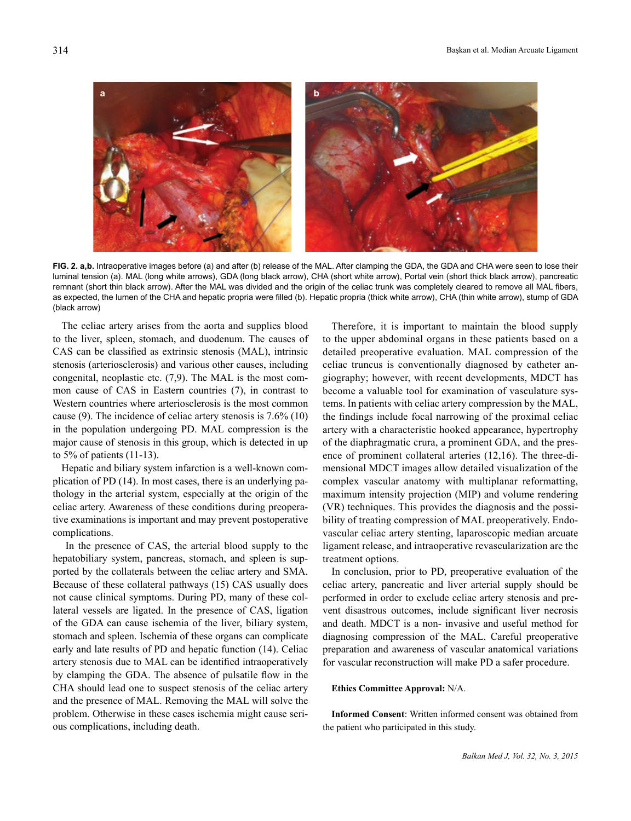**a b**

**FIG. 2. a,b.** Intraoperative images before (a) and after (b) release of the MAL. After clamping the GDA, the GDA and CHA were seen to lose their luminal tension (a). MAL (long white arrows), GDA (long black arrow), CHA (short white arrow), Portal vein (short thick black arrow), pancreatic remnant (short thin black arrow). After the MAL was divided and the origin of the celiac trunk was completely cleared to remove all MAL fibers, as expected, the lumen of the CHA and hepatic propria were filled (b). Hepatic propria (thick white arrow), CHA (thin white arrow), stump of GDA (black arrow)

The celiac artery arises from the aorta and supplies blood to the liver, spleen, stomach, and duodenum. The causes of CAS can be classified as extrinsic stenosis (MAL), intrinsic stenosis (arteriosclerosis) and various other causes, including congenital, neoplastic etc. (7,9). The MAL is the most common cause of CAS in Eastern countries (7), in contrast to Western countries where arteriosclerosis is the most common cause (9). The incidence of celiac artery stenosis is 7.6% (10) in the population undergoing PD. MAL compression is the major cause of stenosis in this group, which is detected in up to 5% of patients (11-13).

Hepatic and biliary system infarction is a well-known complication of PD (14). In most cases, there is an underlying pathology in the arterial system, especially at the origin of the celiac artery. Awareness of these conditions during preoperative examinations is important and may prevent postoperative complications.

 In the presence of CAS, the arterial blood supply to the hepatobiliary system, pancreas, stomach, and spleen is supported by the collaterals between the celiac artery and SMA. Because of these collateral pathways (15) CAS usually does not cause clinical symptoms. During PD, many of these collateral vessels are ligated. In the presence of CAS, ligation of the GDA can cause ischemia of the liver, biliary system, stomach and spleen. Ischemia of these organs can complicate early and late results of PD and hepatic function (14). Celiac artery stenosis due to MAL can be identified intraoperatively by clamping the GDA. The absence of pulsatile flow in the CHA should lead one to suspect stenosis of the celiac artery and the presence of MAL. Removing the MAL will solve the problem. Otherwise in these cases ischemia might cause serious complications, including death.

Therefore, it is important to maintain the blood supply to the upper abdominal organs in these patients based on a detailed preoperative evaluation. MAL compression of the celiac truncus is conventionally diagnosed by catheter angiography; however, with recent developments, MDCT has become a valuable tool for examination of vasculature systems. In patients with celiac artery compression by the MAL, the findings include focal narrowing of the proximal celiac artery with a characteristic hooked appearance, hypertrophy of the diaphragmatic crura, a prominent GDA, and the presence of prominent collateral arteries (12,16). The three-dimensional MDCT images allow detailed visualization of the complex vascular anatomy with multiplanar reformatting, maximum intensity projection (MIP) and volume rendering (VR) techniques. This provides the diagnosis and the possibility of treating compression of MAL preoperatively. Endovascular celiac artery stenting, laparoscopic median arcuate ligament release, and intraoperative revascularization are the treatment options.

In conclusion, prior to PD, preoperative evaluation of the celiac artery, pancreatic and liver arterial supply should be performed in order to exclude celiac artery stenosis and prevent disastrous outcomes, include significant liver necrosis and death. MDCT is a non- invasive and useful method for diagnosing compression of the MAL. Careful preoperative preparation and awareness of vascular anatomical variations for vascular reconstruction will make PD a safer procedure.

#### **Ethics Committee Approval:** N/A.

**Informed Consent**: Written informed consent was obtained from the patient who participated in this study.